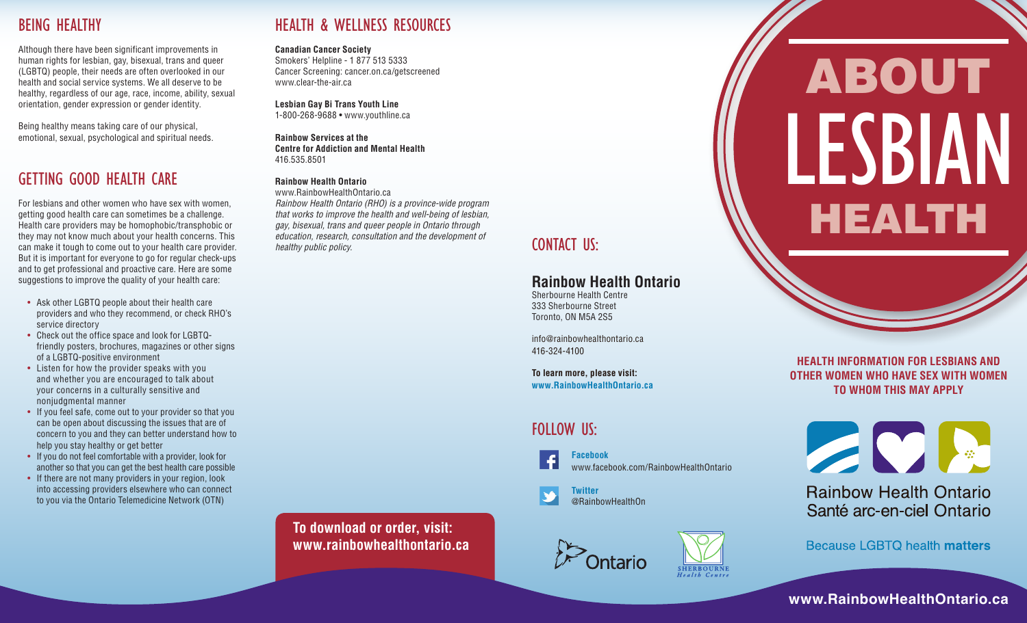## BEING HEALTHY

Although there have been significant improvements in human rights for lesbian, gay, bisexual, trans and queer (LGBTQ) people, their needs are often overlooked in our health and social service systems. We all deserve to be healthy, regardless of our age, race, income, ability, sexual orientation, gender expression or gender identity.

Being healthy means taking care of our physical, emotional, sexual, psychological and spiritual needs.

## GETTING GOOD HEALTH CARE

For lesbians and other women who have sex with women, getting good health care can sometimes be a challenge. Health care providers may be homophobic/transphobic or they may not know much about your health concerns. This can make it tough to come out to your health care provider. But it is important for everyone to go for regular check-ups and to get professional and proactive care. Here are some suggestions to improve the quality of your health care:

- Ask other LGBTQ people about their health care providers and who they recommend, or check RHO's service directory
- Check out the office space and look for LGBTQfriendly posters, brochures, magazines or other signs of a LGBTQ-positive environment
- Listen for how the provider speaks with you and whether you are encouraged to talk about your concerns in a culturally sensitive and nonjudgmental manner
- If you feel safe, come out to your provider so that you can be open about discussing the issues that are of concern to you and they can better understand how to help you stay healthy or get better
- If you do not feel comfortable with a provider, look for another so that you can get the best health care possible
- If there are not many providers in your region, look into accessing providers elsewhere who can connect to you via the Ontario Telemedicine Network (OTN)

## HEALTH & WELLNESS RESOURCES

#### **Canadian Cancer Society**

Smokers' Helpline - 1 877 513 5333 Cancer Screening: cancer.on.ca/getscreened www.clear-the-air.ca

## **Lesbian Gay Bi Trans Youth Line**

1-800-268-9688 • www.youthline.ca

**Rainbow Services at the Centre for Addiction and Mental Health** 416.535.8501

### **Rainbow Health Ontario**

www.RainbowHealthOntario.ca *Rainbow Health Ontario (RHO) is a province-wide program that works to improve the health and well-being of lesbian, gay, bisexual, trans and queer people in Ontario through education, research, consultation and the development of healthy public policy.* Consumation and the development of **CONTACT** US:

## **Rainbow Health Ontario**

Sherbourne Health Centre 333 Sherbourne Street Toronto, ON M5A 2S5

info@rainbowhealthontario.ca 416-324-4100

**To learn more, please visit: www.RainbowHealthOntario.ca**

## FOLLOW US:

 **Facebook**  www.facebook.com/RainbowHealthOntario

 **Twitter**  @RainbowHealthOn



# ABOUT HEALTH LESBIAN

**HEALTH INFORMATION FOR LESBIANS AND OTHER WOMEN WHO HAVE SEX WITH WOMEN TO WHOM THIS MAY APPLY**



**Rainbow Health Ontario** Santé arc-en-ciel Ontario

**Because LGBTQ health matters** 

**www.RainbowHealthOntario.ca**

**To download or order, visit: www.rainbowhealthontario.ca**